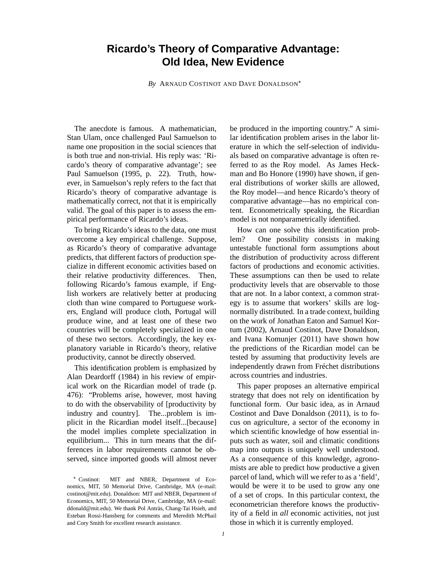# **Ricardo's Theory of Comparative Advantage: Old Idea, New Evidence**

*By* ARNAUD COSTINOT AND DAVE DONALDSON

The anecdote is famous. A mathematician, Stan Ulam, once challenged Paul Samuelson to name one proposition in the social sciences that is both true and non-trivial. His reply was: 'Ricardo's theory of comparative advantage'; see Paul Samuelson (1995, p. 22). Truth, however, in Samuelson's reply refers to the fact that Ricardo's theory of comparative advantage is mathematically correct, not that it is empirically valid. The goal of this paper is to assess the empirical performance of Ricardo's ideas.

To bring Ricardo's ideas to the data, one must overcome a key empirical challenge. Suppose, as Ricardo's theory of comparative advantage predicts, that different factors of production specialize in different economic activities based on their relative productivity differences. Then, following Ricardo's famous example, if English workers are relatively better at producing cloth than wine compared to Portuguese workers, England will produce cloth, Portugal will produce wine, and at least one of these two countries will be completely specialized in one of these two sectors. Accordingly, the key explanatory variable in Ricardo's theory, relative productivity, cannot be directly observed.

This identification problem is emphasized by Alan Deardorff (1984) in his review of empirical work on the Ricardian model of trade (p. 476): "Problems arise, however, most having to do with the observability of [productivity by industry and country]. The...problem is implicit in the Ricardian model itself...[because] the model implies complete specialization in equilibrium... This in turn means that the differences in labor requirements cannot be observed, since imported goods will almost never be produced in the importing country." A similar identification problem arises in the labor literature in which the self-selection of individuals based on comparative advantage is often referred to as the Roy model. As James Heckman and Bo Honore (1990) have shown, if general distributions of worker skills are allowed, the Roy model—and hence Ricardo's theory of comparative advantage—has no empirical content. Econometrically speaking, the Ricardian model is not nonparametrically identified.

How can one solve this identification problem? One possibility consists in making untestable functional form assumptions about the distribution of productivity across different factors of productions and economic activities. These assumptions can then be used to relate productivity levels that are observable to those that are not. In a labor context, a common strategy is to assume that workers' skills are lognormally distributed. In a trade context, building on the work of Jonathan Eaton and Samuel Kortum (2002), Arnaud Costinot, Dave Donaldson, and Ivana Komunjer (2011) have shown how the predictions of the Ricardian model can be tested by assuming that productivity levels are independently drawn from Fréchet distributions across countries and industries.

This paper proposes an alternative empirical strategy that does not rely on identification by functional form. Our basic idea, as in Arnaud Costinot and Dave Donaldson (2011), is to focus on agriculture, a sector of the economy in which scientific knowledge of how essential inputs such as water, soil and climatic conditions map into outputs is uniquely well understood. As a consequence of this knowledge, agronomists are able to predict how productive a given parcel of land, which will we refer to as a 'field', would be were it to be used to grow any one of a set of crops. In this particular context, the econometrician therefore knows the productivity of a field in *all* economic activities, not just those in which it is currently employed.

Costinot: MIT and NBER, Department of Economics, MIT, 50 Memorial Drive, Cambridge, MA (e-mail: costinot@mit.edu). Donaldson: MIT and NBER, Department of Economics, MIT, 50 Memorial Drive, Cambridge, MA (e-mail: ddonald@mit.edu). We thank Pol Antràs, Chang-Tai Hsieh, and Esteban Rossi-Hansberg for comments and Meredith McPhail and Cory Smith for excellent research assistance.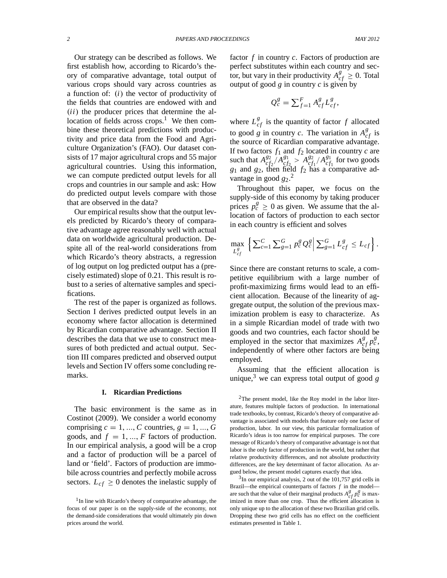Our strategy can be described as follows. We first establish how, according to Ricardo's theory of comparative advantage, total output of various crops should vary across countries as a function of:  $(i)$  the vector of productivity of the fields that countries are endowed with and .*ii*/ the producer prices that determine the allocation of fields across  $\c{c}$  crops.<sup>1</sup> We then combine these theoretical predictions with productivity and price data from the Food and Agriculture Organization's (FAO). Our dataset consists of 17 major agricultural crops and 55 major agricultural countries. Using this information, we can compute predicted output levels for all crops and countries in our sample and ask: How do predicted output levels compare with those that are observed in the data?

Our empirical results show that the output levels predicted by Ricardo's theory of comparative advantage agree reasonably well with actual data on worldwide agricultural production. Despite all of the real-world considerations from which Ricardo's theory abstracts, a regression of log output on log predicted output has a (precisely estimated) slope of 0.21. This result is robust to a series of alternative samples and specifications.

The rest of the paper is organized as follows. Section I derives predicted output levels in an economy where factor allocation is determined by Ricardian comparative advantage. Section II describes the data that we use to construct measures of both predicted and actual output. Section III compares predicted and observed output levels and Section IV offers some concluding remarks.

#### **I. Ricardian Predictions**

The basic environment is the same as in Costinot (2009). We consider a world economy comprising  $c = 1, ..., C$  countries,  $g = 1, ..., G$ goods, and  $f = 1, ..., F$  factors of production. In our empirical analysis, a good will be a crop and a factor of production will be a parcel of land or 'field'. Factors of production are immobile across countries and perfectly mobile across sectors.  $L_{cf} \geq 0$  denotes the inelastic supply of factor *f* in country *c*. Factors of production are perfect substitutes within each country and secfor, but vary in their productivity  $A_{cf}^g \geq 0$ . Total output of good *g* in country *c* is given by

$$
Q_c^g = \sum_{f=1}^F A_{cf}^g L_{cf}^g,
$$

where  $L_{cf}^{g}$  is the quantity of factor  $f$  allocated to good *g* in country *c*. The variation in  $A_{cf}^g$  is the source of Ricardian comparative advantage. If two factors  $f_1$  and  $f_2$  located in country  $c$  are such that  $A_{cf}^{g_2}$  $\frac{g_2}{cf_2}$  /  $A_{cf}^{g_1}$  ${}_{cf_2}^{g_1} > A_{cf}^{g_2}$  ${}_{cf_1}^{g_2}/A_{cf}^{g_1}$  $_{cf_1}^{g_1}$  for two goods *g*<sup>1</sup> and *g*2, then field *f*<sup>2</sup> has a comparative advantage in good  $g_2$ <sup>2</sup>

Throughout this paper, we focus on the supply-side of this economy by taking producer prices  $p_c^g \ge 0$  as given. We assume that the allocation of factors of production to each sector in each country is efficient and solves

$$
\max_{L_{cf}^g} \left\{ \sum_{c=1}^C \sum_{g=1}^G p_c^g Q_c^g \middle| \sum_{g=1}^G L_{cf}^g \leq L_{cf} \right\}.
$$

Since there are constant returns to scale, a competitive equilibrium with a large number of profit-maximizing firms would lead to an efficient allocation. Because of the linearity of aggregate output, the solution of the previous maximization problem is easy to characterize. As in a simple Ricardian model of trade with two goods and two countries, each factor should be employed in the sector that maximizes  $A_{cf}^{g} p_c^{g}$ , independently of where other factors are being employed.

Assuming that the efficient allocation is unique,<sup>3</sup> we can express total output of good  $g$ 

<sup>&</sup>lt;sup>1</sup> In line with Ricardo's theory of comparative advantage, the focus of our paper is on the supply-side of the economy, not the demand-side considerations that would ultimately pin down prices around the world.

 $2$ The present model, like the Roy model in the labor literature, features multiple factors of production. In international trade textbooks, by contrast, Ricardo's theory of comparative advantage is associated with models that feature only one factor of production, labor. In our view, this particular formalization of Ricardo's ideas is too narrow for empirical purposes. The core message of Ricardo's theory of comparative advantage is not that labor is the only factor of production in the world, but rather that relative productivity differences, and not absolute productivity differences, are the key determinant of factor allocation. As argued below, the present model captures exactly that idea.

 $3$ In our empirical analysis, 2 out of the 101,757 grid cells in Brazil—the empirical counterparts of factors *f* in the model are such that the value of their marginal products  $A_{cf}^g p_c^g$  is maximized in more than one crop. Thus the efficient allocation is only unique up to the allocation of these two Brazilian grid cells. Dropping these two grid cells has no effect on the coefficient estimates presented in Table 1.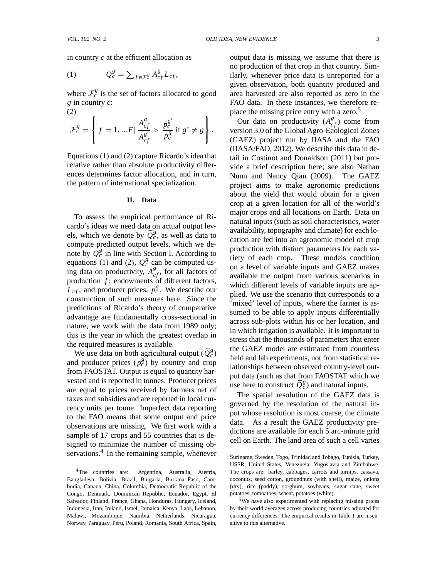in country *c* at the efficient allocation as

(1) 
$$
Q_c^g = \sum_{f \in \mathcal{F}_c^g} A_{cf}^g L_{cf},
$$

where  $\mathcal{F}_c^g$  is the set of factors allocated to good *g* in country *c*: (2)

$$
\mathcal{F}_c^g = \left\{ f = 1, ... F \vert \frac{A_{cf}^g}{A_{cf}^{g'}} > \frac{p_c^{g'}}{p_c^g} \text{ if } g' \neq g \right\}.
$$

Equations  $(1)$  and  $(2)$  capture Ricardo's idea that relative rather than absolute productivity differences determines factor allocation, and in turn, the pattern of international specialization.

### **II. Data**

To assess the empirical performance of Ricardo's ideas we need data on actual output levels, which we denote by  $\tilde{Q}_c^g$ , as well as data to compute predicted output levels, which we denote by  $\overline{Q}_{c}^{g}$  in line with Section I. According to equations (1) and (2),  $Q_c^g$  can be computed using data on productivity,  $A_{cf}^g$ , for all factors of production  $f$ ; endowments of different factors,  $L_{cf}$ ; and producer prices,  $p_c^g$ . We describe our construction of such measures here. Since the predictions of Ricardo's theory of comparative advantage are fundamentally cross-sectional in nature, we work with the data from 1989 only; this is the year in which the greatest overlap in the required measures is available.

We use data on both agricultural output ( $\widetilde{Q}_c^g$ ) and producer prices  $(p_c^g)$  by country and crop from FAOSTAT. Output is equal to quantity harvested and is reported in tonnes. Producer prices are equal to prices received by farmers net of taxes and subsidies and are reported in local currency units per tonne. Imperfect data reporting to the FAO means that some output and price observations are missing. We first work with a sample of 17 crops and 55 countries that is designed to minimize the number of missing observations.<sup>4</sup> In the remaining sample, whenever

<sup>4</sup>The countries are: Argentina, Australia, Austria, Bangladesh, Bolivia, Brazil, Bulgaria, Burkina Faso, Cambodia, Canada, China, Colombia, Democratic Republic of the Congo, Denmark, Dominican Republic, Ecuador, Egypt, El Salvador, Finland, France, Ghana, Honduras, Hungary, Iceland, Indonesia, Iran, Ireland, Israel, Jamaica, Kenya, Laos, Lebanon, Malawi, Mozambique, Namibia, Netherlands, Nicaragua, Norway, Paraguay, Peru, Poland, Romania, South Africa, Spain, output data is missing we assume that there is no production of that crop in that country. Similarly, whenever price data is unreported for a given observation, both quantity produced and area harvested are also reported as zero in the FAO data. In these instances, we therefore replace the missing price entry with a zero.<sup>5</sup>

Our data on productivity  $(A_{cf}^g)$  come from version 3.0 of the Global Agro-Ecological Zones (GAEZ) project run by IIASA and the FAO (IIASA/FAO, 2012). We describe this data in detail in Costinot and Donaldson (2011) but provide a brief description here; see also Nathan Nunn and Nancy Qian (2009). The GAEZ project aims to make agronomic predictions about the yield that would obtain for a given crop at a given location for all of the world's major crops and all locations on Earth. Data on natural inputs (such as soil characteristics, water availability, topography and climate) for each location are fed into an agronomic model of crop production with distinct parameters for each variety of each crop. These models condition on a level of variable inputs and GAEZ makes available the output from various scenarios in which different levels of variable inputs are applied. We use the scenario that corresponds to a 'mixed' level of inputs, where the farmer is assumed to be able to apply inputs differentially across sub-plots within his or her location, and in which irrigation is available. It is important to stress that the thousands of parameters that enter the GAEZ model are estimated from countless field and lab experiments, not from statistical relationships between observed country-level output data (such as that from FAOSTAT which we use here to construct  $\tilde{Q}_c^g$  and natural inputs.

The spatial resolution of the GAEZ data is governed by the resolution of the natural input whose resolution is most coarse, the climate data. As a result the GAEZ productivity predictions are available for each 5 arc-minute grid cell on Earth. The land area of such a cell varies

Suriname, Sweden, Togo, Trinidad and Tobago, Tunisia, Turkey, USSR, United States, Venezuela, Yugoslavia and Zimbabwe. The crops are: barley, cabbages, carrots and turnips, cassava, coconuts, seed cotton, groundnuts (with shell), maize, onions (dry), rice (paddy), sorghum, soybeans, sugar cane, sweet potatoes, tomoatoes, wheat, potatoes (white).

<sup>5</sup>We have also experimented with replacing missing prices by their world averages across producing countries adjusted for currency differences. The empirical results in Table 1 are insensitive to this alternative.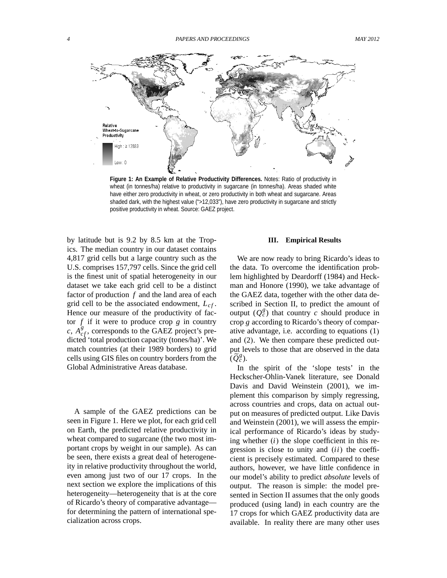

**Figure 1: An Example of Relative Productivity Differences.** Notes: Ratio of productivity in wheat (in tonnes/ha) relative to productivity in sugarcane (in tonnes/ha). Areas shaded white have either zero productivity in wheat, or zero productivity in both wheat and sugarcane. Areas shaded dark, with the highest value (">12,033"), have zero productivity in sugarcane and strictly positive productivity in wheat. Source: GAEZ project.

by latitude but is 9.2 by 8.5 km at the Tropics. The median country in our dataset contains 4,817 grid cells but a large country such as the U.S. comprises 157,797 cells. Since the grid cell is the finest unit of spatial heterogeneity in our dataset we take each grid cell to be a distinct factor of production *f* and the land area of each grid cell to be the associated endowment, *Lcf* . Hence our measure of the productivity of factor  $f$  if it were to produce crop  $g$  in country  $c, A_{cf}^g$ , corresponds to the GAEZ project's predicted 'total production capacity (tones/ha)'. We match countries (at their 1989 borders) to grid cells using GIS files on country borders from the Global Administrative Areas database.

A sample of the GAEZ predictions can be seen in Figure 1. Here we plot, for each grid cell on Earth, the predicted relative productivity in wheat compared to sugarcane (the two most important crops by weight in our sample). As can be seen, there exists a great deal of heterogeneity in relative productivity throughout the world, even among just two of our 17 crops. In the next section we explore the implications of this heterogeneity—heterogeneity that is at the core of Ricardo's theory of comparative advantage for determining the pattern of international specialization across crops.

### **III. Empirical Results**

We are now ready to bring Ricardo's ideas to the data. To overcome the identification problem highlighted by Deardorff (1984) and Heckman and Honore (1990), we take advantage of the GAEZ data, together with the other data described in Section II, to predict the amount of output  $(Q_c^g)$  that country *c* should produce in crop *g* according to Ricardo's theory of comparative advantage, i.e. according to equations  $(1)$ and  $(2)$ . We then compare these predicted output levels to those that are observed in the data  $\left(\widetilde{Q}_{c}^{g}\right)$ .

In the spirit of the 'slope tests' in the Heckscher-Ohlin-Vanek literature, see Donald Davis and David Weinstein (2001), we implement this comparison by simply regressing, across countries and crops, data on actual output on measures of predicted output. Like Davis and Weinstein (2001), we will assess the empirical performance of Ricardo's ideas by studying whether  $(i)$  the slope coefficient in this regression is close to unity and  $(ii)$  the coefficient is precisely estimated. Compared to these authors, however, we have little confidence in our model's ability to predict *absolute* levels of output. The reason is simple: the model presented in Section II assumes that the only goods produced (using land) in each country are the 17 crops for which GAEZ productivity data are available. In reality there are many other uses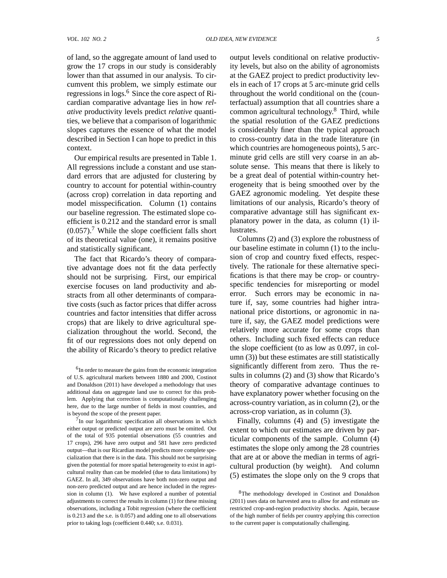of land, so the aggregate amount of land used to grow the 17 crops in our study is considerably lower than that assumed in our analysis. To circumvent this problem, we simply estimate our regressions in logs.<sup>6</sup> Since the core aspect of Ricardian comparative advantage lies in how *relative* productivity levels predict *relative* quantities, we believe that a comparison of logarithmic slopes captures the essence of what the model described in Section I can hope to predict in this context.

Our empirical results are presented in Table 1. All regressions include a constant and use standard errors that are adjusted for clustering by country to account for potential within-country (across crop) correlation in data reporting and model misspecification. Column (1) contains our baseline regression. The estimated slope coefficient is 0.212 and the standard error is small  $(0.057)$ .<sup>7</sup> While the slope coefficient falls short of its theoretical value (one), it remains positive and statistically significant.

The fact that Ricardo's theory of comparative advantage does not fit the data perfectly should not be surprising. First, our empirical exercise focuses on land productivity and abstracts from all other determinants of comparative costs (such as factor prices that differ across countries and factor intensities that differ across crops) that are likely to drive agricultural specialization throughout the world. Second, the fit of our regressions does not only depend on the ability of Ricardo's theory to predict relative

<sup>7</sup>In our logarithmic specification all observations in which either output or predicted output are zero must be omitted. Out of the total of 935 potential observations (55 countries and 17 crops), 296 have zero output and 581 have zero predicted output—that is our Ricardian model predicts more complete specialization that there is in the data. This should not be surprising given the potential for more spatial heterogeneity to exist in agricultural reality than can be modeled (due to data limitations) by GAEZ. In all, 349 observations have both non-zero output and non-zero predicted output and are hence included in the regression in column (1). We have explored a number of potential adjustments to correct the results in column (1) for these missing observations, including a Tobit regression (where the coefficient is 0.213 and the s.e. is 0.057) and adding one to all observations prior to taking logs (coefficient 0.440; s.e. 0.031).

output levels conditional on relative productivity levels, but also on the ability of agronomists at the GAEZ project to predict productivity levels in each of 17 crops at 5 arc-minute grid cells throughout the world conditional on the (counterfactual) assumption that all countries share a common agricultural technology.<sup>8</sup> Third, while the spatial resolution of the GAEZ predictions is considerably finer than the typical approach to cross-country data in the trade literature (in which countries are homogeneous points), 5 arcminute grid cells are still very coarse in an absolute sense. This means that there is likely to be a great deal of potential within-country heterogeneity that is being smoothed over by the GAEZ agronomic modeling. Yet despite these limitations of our analysis, Ricardo's theory of comparative advantage still has significant explanatory power in the data, as column (1) illustrates.

Columns (2) and (3) explore the robustness of our baseline estimate in column (1) to the inclusion of crop and country fixed effects, respectively. The rationale for these alternative specifications is that there may be crop- or countryspecific tendencies for misreporting or model error. Such errors may be economic in nature if, say, some countries had higher intranational price distortions, or agronomic in nature if, say, the GAEZ model predictions were relatively more accurate for some crops than others. Including such fixed effects can reduce the slope coefficient (to as low as 0.097, in column (3)) but these estimates are still statistically significantly different from zero. Thus the results in columns (2) and (3) show that Ricardo's theory of comparative advantage continues to have explanatory power whether focusing on the across-country variation, as in column (2), or the across-crop variation, as in column (3).

Finally, columns (4) and (5) investigate the extent to which our estimates are driven by particular components of the sample. Column (4) estimates the slope only among the 28 countries that are at or above the median in terms of agricultural production (by weight). And column (5) estimates the slope only on the 9 crops that

<sup>&</sup>lt;sup>6</sup>In order to measure the gains from the economic integration of U.S. agricultural markets between 1880 and 2000, Costinot and Donaldson (2011) have developed a methodology that uses additional data on aggregate land use to correct for this problem. Applying that correction is computationally challenging here, due to the large number of fields in most countries, and is beyond the scope of the present paper.

<sup>8</sup>The methodology developed in Costinot and Donaldson (2011) uses data on harvested area to allow for and estimate unrestricted crop-and-region productivity shocks. Again, because of the high number of fields per country applying this correction to the current paper is computationally challenging.